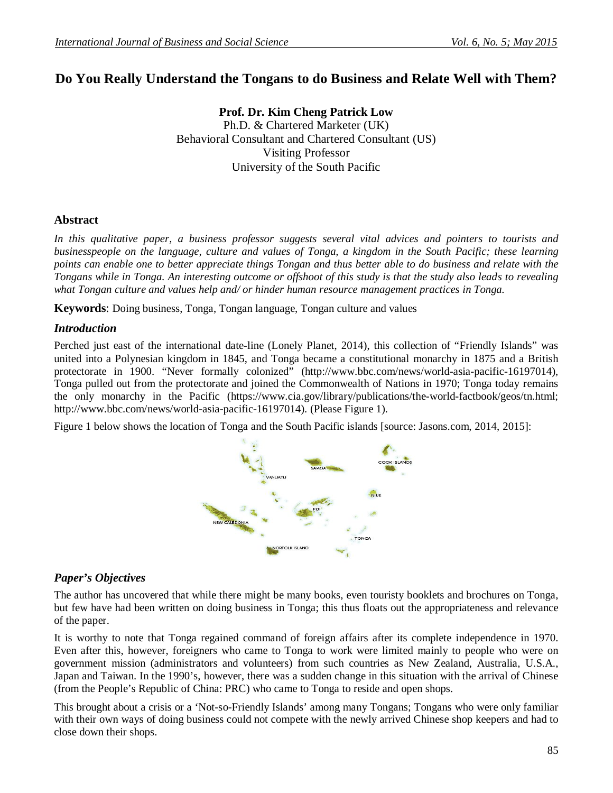# **Do You Really Understand the Tongans to do Business and Relate Well with Them?**

**Prof. Dr. Kim Cheng Patrick Low** Ph.D. & Chartered Marketer (UK) Behavioral Consultant and Chartered Consultant (US) Visiting Professor University of the South Pacific

# **Abstract**

*In this qualitative paper, a business professor suggests several vital advices and pointers to tourists and businesspeople on the language, culture and values of Tonga, a kingdom in the South Pacific; these learning points can enable one to better appreciate things Tongan and thus better able to do business and relate with the Tongans while in Tonga. An interesting outcome or offshoot of this study is that the study also leads to revealing what Tongan culture and values help and/ or hinder human resource management practices in Tonga.*

**Keywords**: Doing business, Tonga, Tongan language, Tongan culture and values

## *Introduction*

Perched just east of the international date-line (Lonely Planet, 2014), this collection of "Friendly Islands" was united into a Polynesian kingdom in 1845, and Tonga became a constitutional monarchy in 1875 and a British protectorate in 1900. "Never formally colonized" (http://www.bbc.com/news/world-asia-pacific-16197014), Tonga pulled out from the protectorate and joined the Commonwealth of Nations in 1970; Tonga today remains the only monarchy in the Pacific (https://www.cia.gov/library/publications/the-world-factbook/geos/tn.html; http://www.bbc.com/news/world-asia-pacific-16197014). (Please Figure 1).

Figure 1 below shows the location of Tonga and the South Pacific islands [source: Jasons.com, 2014, 2015]:



# *Paper's Objectives*

The author has uncovered that while there might be many books, even touristy booklets and brochures on Tonga, but few have had been written on doing business in Tonga; this thus floats out the appropriateness and relevance of the paper.

It is worthy to note that Tonga regained command of foreign affairs after its complete independence in 1970. Even after this, however, foreigners who came to Tonga to work were limited mainly to people who were on government mission (administrators and volunteers) from such countries as New Zealand, Australia, U.S.A., Japan and Taiwan. In the 1990's, however, there was a sudden change in this situation with the arrival of Chinese (from the People's Republic of China: PRC) who came to Tonga to reside and open shops.

This brought about a crisis or a 'Not-so-Friendly Islands' among many Tongans; Tongans who were only familiar with their own ways of doing business could not compete with the newly arrived Chinese shop keepers and had to close down their shops.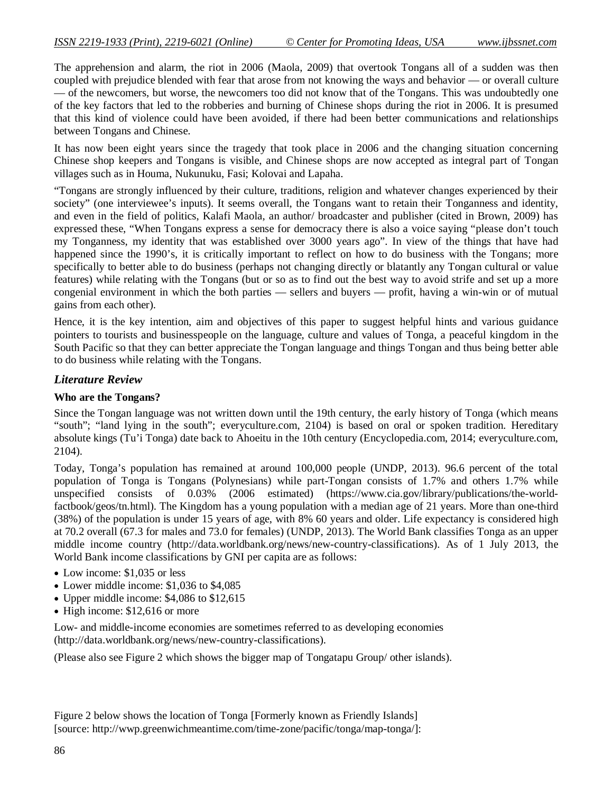The apprehension and alarm, the riot in 2006 (Maola, 2009) that overtook Tongans all of a sudden was then coupled with prejudice blended with fear that arose from not knowing the ways and behavior — or overall culture — of the newcomers, but worse, the newcomers too did not know that of the Tongans. This was undoubtedly one of the key factors that led to the robberies and burning of Chinese shops during the riot in 2006. It is presumed that this kind of violence could have been avoided, if there had been better communications and relationships between Tongans and Chinese.

It has now been eight years since the tragedy that took place in 2006 and the changing situation concerning Chinese shop keepers and Tongans is visible, and Chinese shops are now accepted as integral part of Tongan villages such as in Houma, Nukunuku, Fasi; Kolovai and Lapaha.

"Tongans are strongly influenced by their culture, traditions, religion and whatever changes experienced by their society" (one interviewee's inputs). It seems overall, the Tongans want to retain their Tonganness and identity, and even in the field of politics, Kalafi Maola, an author/ broadcaster and publisher (cited in Brown, 2009) has expressed these, "When Tongans express a sense for democracy there is also a voice saying "please don't touch my Tonganness, my identity that was established over 3000 years ago". In view of the things that have had happened since the 1990's, it is critically important to reflect on how to do business with the Tongans; more specifically to better able to do business (perhaps not changing directly or blatantly any Tongan cultural or value features) while relating with the Tongans (but or so as to find out the best way to avoid strife and set up a more congenial environment in which the both parties — sellers and buyers — profit, having a win-win or of mutual gains from each other).

Hence, it is the key intention, aim and objectives of this paper to suggest helpful hints and various guidance pointers to tourists and businesspeople on the language, culture and values of Tonga, a peaceful kingdom in the South Pacific so that they can better appreciate the Tongan language and things Tongan and thus being better able to do business while relating with the Tongans.

#### *Literature Review*

#### **Who are the Tongans?**

Since the Tongan language was not written down until the 19th century, the early history of Tonga (which means "south"; "land lying in the south"; everyculture.com, 2104) is based on oral or spoken tradition. Hereditary absolute kings (Tu'i Tonga) date back to Ahoeitu in the 10th century (Encyclopedia.com, 2014; everyculture.com, 2104).

Today, Tonga's population has remained at around 100,000 people (UNDP, 2013). 96.6 percent of the total population of Tonga is Tongans (Polynesians) while part-Tongan consists of 1.7% and others 1.7% while unspecified consists of 0.03% (2006 estimated) (https://www.cia.gov/library/publications/the-worldfactbook/geos/tn.html). The Kingdom has a young population with a median age of 21 years. More than one-third (38%) of the population is under 15 years of age, with 8% 60 years and older. Life expectancy is considered high at 70.2 overall (67.3 for males and 73.0 for females) (UNDP, 2013). The World Bank classifies Tonga as an upper middle income country (http://data.worldbank.org/news/new-country-classifications). As of 1 July 2013, the World Bank income classifications by GNI per capita are as follows:

- Low income: \$1,035 or less
- Lower middle income: \$1,036 to \$4,085
- Upper middle income: \$4,086 to \$12,615
- High income: \$12,616 or more

Low- and middle-income economies are sometimes referred to as developing economies (http://data.worldbank.org/news/new-country-classifications).

(Please also see Figure 2 which shows the bigger map of Tongatapu Group/ other islands).

Figure 2 below shows the location of Tonga [Formerly known as Friendly Islands] [source: http://wwp.greenwichmeantime.com/time-zone/pacific/tonga/map-tonga/]: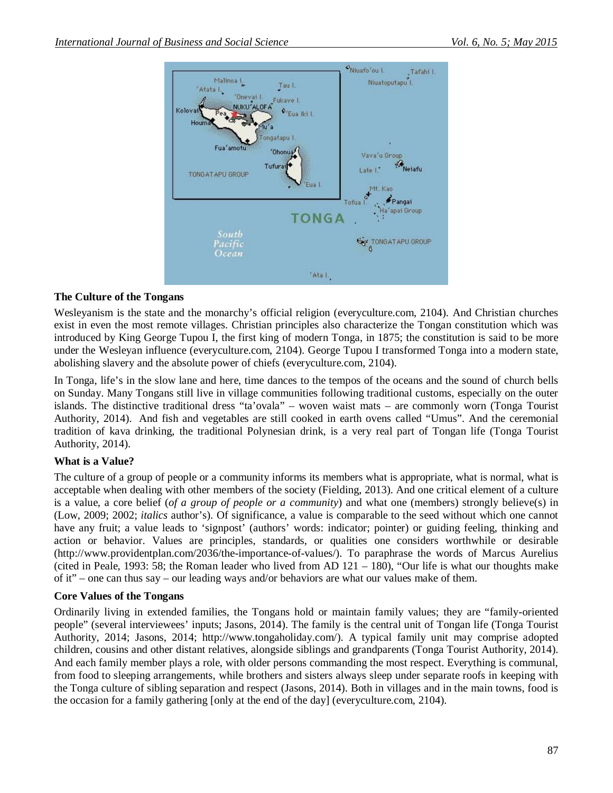

## **The Culture of the Tongans**

Wesleyanism is the state and the monarchy's official religion (everyculture.com, 2104). And Christian churches exist in even the most remote villages. Christian principles also characterize the Tongan constitution which was introduced by King George Tupou I, the first king of modern Tonga, in 1875; the constitution is said to be more under the Wesleyan influence (everyculture.com, 2104). George Tupou I transformed Tonga into a modern state, abolishing slavery and the absolute power of chiefs (everyculture.com, 2104).

In Tonga, life's in the slow lane and here, time dances to the tempos of the oceans and the sound of church bells on Sunday. Many Tongans still live in village communities following traditional customs, especially on the outer islands. The distinctive traditional dress "ta'ovala" – woven waist mats – are commonly worn (Tonga Tourist Authority, 2014). And fish and vegetables are still cooked in earth ovens called "Umus". And the ceremonial tradition of kava drinking, the traditional Polynesian drink, is a very real part of Tongan life (Tonga Tourist Authority, 2014).

# **What is a Value?**

The culture of a group of people or a community informs its members what is appropriate, what is normal, what is acceptable when dealing with other members of the society (Fielding, 2013). And one critical element of a culture is a value, a core belief (*of a group of people or a community*) and what one (members) strongly believe(s) in (Low, 2009; 2002; *italics* author's). Of significance, a value is comparable to the seed without which one cannot have any fruit; a value leads to 'signpost' (authors' words: indicator; pointer) or guiding feeling, thinking and action or behavior. Values are principles, standards, or qualities one considers worthwhile or desirable (http://www.providentplan.com/2036/the-importance-of-values/). To paraphrase the words of Marcus Aurelius (cited in Peale, 1993: 58; the Roman leader who lived from AD 121 – 180), "Our life is what our thoughts make of it" – one can thus say – our leading ways and/or behaviors are what our values make of them.

## **Core Values of the Tongans**

Ordinarily living in extended families, the Tongans hold or maintain family values; they are "family-oriented people" (several interviewees' inputs; Jasons, 2014). The family is the central unit of Tongan life (Tonga Tourist Authority, 2014; Jasons, 2014; http://www.tongaholiday.com/). A typical family unit may comprise adopted children, cousins and other distant relatives, alongside siblings and grandparents (Tonga Tourist Authority, 2014). And each family member plays a role, with older persons commanding the most respect. Everything is communal, from food to sleeping arrangements, while brothers and sisters always sleep under separate roofs in keeping with the Tonga culture of sibling separation and respect (Jasons, 2014). Both in villages and in the main towns, food is the occasion for a family gathering [only at the end of the day] (everyculture.com, 2104).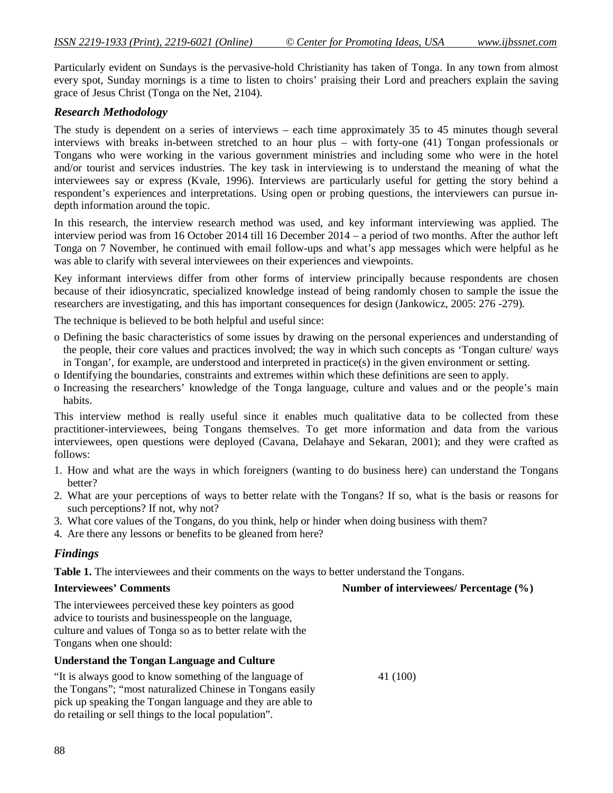Particularly evident on Sundays is the pervasive-hold Christianity has taken of Tonga. In any town from almost every spot, Sunday mornings is a time to listen to choirs' praising their Lord and preachers explain the saving grace of Jesus Christ (Tonga on the Net, 2104).

#### *Research Methodology*

The study is dependent on a series of interviews – each time approximately 35 to 45 minutes though several interviews with breaks in-between stretched to an hour plus – with forty-one (41) Tongan professionals or Tongans who were working in the various government ministries and including some who were in the hotel and/or tourist and services industries. The key task in interviewing is to understand the meaning of what the interviewees say or express (Kvale, 1996). Interviews are particularly useful for getting the story behind a respondent's experiences and interpretations. Using open or probing questions, the interviewers can pursue indepth information around the topic.

In this research, the interview research method was used, and key informant interviewing was applied. The interview period was from 16 October 2014 till 16 December 2014 – a period of two months. After the author left Tonga on 7 November, he continued with email follow-ups and what's app messages which were helpful as he was able to clarify with several interviewees on their experiences and viewpoints.

Key informant interviews differ from other forms of interview principally because respondents are chosen because of their idiosyncratic, specialized knowledge instead of being randomly chosen to sample the issue the researchers are investigating, and this has important consequences for design (Jankowicz, 2005: 276 -279).

The technique is believed to be both helpful and useful since:

- o Defining the basic characteristics of some issues by drawing on the personal experiences and understanding of the people, their core values and practices involved; the way in which such concepts as 'Tongan culture/ ways in Tongan', for example, are understood and interpreted in practice(s) in the given environment or setting.
- o Identifying the boundaries, constraints and extremes within which these definitions are seen to apply.
- o Increasing the researchers' knowledge of the Tonga language, culture and values and or the people's main habits.

This interview method is really useful since it enables much qualitative data to be collected from these practitioner-interviewees, being Tongans themselves. To get more information and data from the various interviewees, open questions were deployed (Cavana, Delahaye and Sekaran, 2001); and they were crafted as follows:

- 1. How and what are the ways in which foreigners (wanting to do business here) can understand the Tongans better?
- 2. What are your perceptions of ways to better relate with the Tongans? If so, what is the basis or reasons for such perceptions? If not, why not?
- 3. What core values of the Tongans, do you think, help or hinder when doing business with them?
- 4. Are there any lessons or benefits to be gleaned from here?

#### *Findings*

Table 1. The interviewees and their comments on the ways to better understand the Tongans.

**Interviewees' Comments** Number of interviewees/ Percentage (%)

The interviewees perceived these key pointers as good advice to tourists and businesspeople on the language, culture and values of Tonga so as to better relate with the Tongans when one should:

#### **Understand the Tongan Language and Culture**

"It is always good to know something of the language of 41 (100) the Tongans"; "most naturalized Chinese in Tongans easily pick up speaking the Tongan language and they are able to do retailing or sell things to the local population".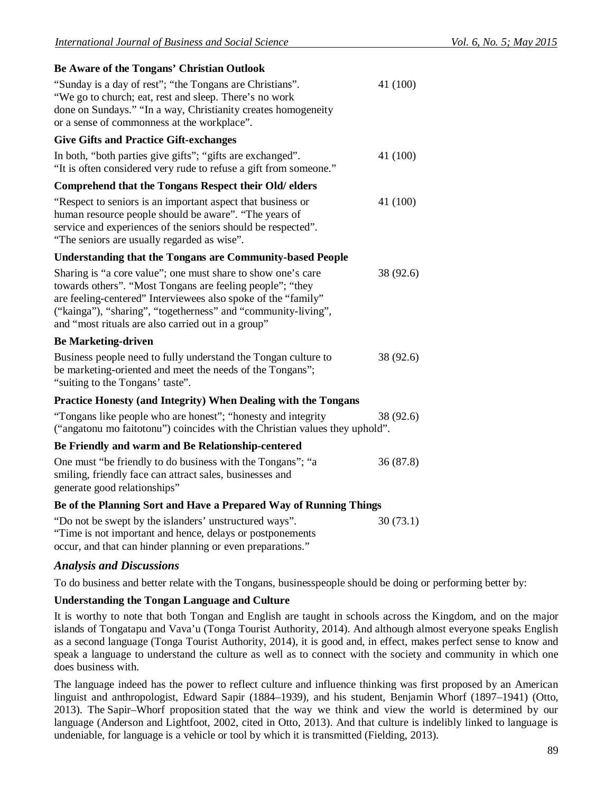| Be Aware of the Tongans' Christian Outlook |  |
|--------------------------------------------|--|
|--------------------------------------------|--|

| De Aware of the Tongans Christian Outlook                                                                                                                                                                                                                                                                         |           |
|-------------------------------------------------------------------------------------------------------------------------------------------------------------------------------------------------------------------------------------------------------------------------------------------------------------------|-----------|
| "Sunday is a day of rest"; "the Tongans are Christians".<br>"We go to church; eat, rest and sleep. There's no work<br>done on Sundays." "In a way, Christianity creates homogeneity<br>or a sense of commonness at the workplace".                                                                                | 41 (100)  |
| <b>Give Gifts and Practice Gift-exchanges</b>                                                                                                                                                                                                                                                                     |           |
| In both, "both parties give gifts"; "gifts are exchanged".<br>"It is often considered very rude to refuse a gift from someone."                                                                                                                                                                                   | 41 (100)  |
| Comprehend that the Tongans Respect their Old/ elders                                                                                                                                                                                                                                                             |           |
| "Respect to seniors is an important aspect that business or<br>human resource people should be aware". "The years of<br>service and experiences of the seniors should be respected".<br>"The seniors are usually regarded as wise".                                                                               | 41 (100)  |
| <b>Understanding that the Tongans are Community-based People</b>                                                                                                                                                                                                                                                  |           |
| Sharing is "a core value"; one must share to show one's care<br>towards others". "Most Tongans are feeling people"; "they<br>are feeling-centered" Interviewees also spoke of the "family"<br>("kainga"), "sharing", "togetherness" and "community-living",<br>and "most rituals are also carried out in a group" | 38 (92.6) |
| <b>Be Marketing-driven</b>                                                                                                                                                                                                                                                                                        |           |
| Business people need to fully understand the Tongan culture to<br>be marketing-oriented and meet the needs of the Tongans";<br>"suiting to the Tongans' taste".                                                                                                                                                   | 38 (92.6) |
| <b>Practice Honesty (and Integrity) When Dealing with the Tongans</b>                                                                                                                                                                                                                                             |           |
| "Tongans like people who are honest"; "honesty and integrity"<br>("angatonu mo faitotonu") coincides with the Christian values they uphold".                                                                                                                                                                      | 38 (92.6) |
| Be Friendly and warm and Be Relationship-centered                                                                                                                                                                                                                                                                 |           |
| One must "be friendly to do business with the Tongans"; "a<br>smiling, friendly face can attract sales, businesses and<br>generate good relationships"                                                                                                                                                            | 36(87.8)  |
| Be of the Planning Sort and Have a Prepared Way of Running Things                                                                                                                                                                                                                                                 |           |
| $(5)$ and $\frac{1}{20}$ (72.1)                                                                                                                                                                                                                                                                                   |           |

"Do not be swept by the islanders' unstructured ways".  $30(73.1)$ "Time is not important and hence, delays or postponements occur, and that can hinder planning or even preparations."

## *Analysis and Discussions*

To do business and better relate with the Tongans, businesspeople should be doing or performing better by:

## **Understanding the Tongan Language and Culture**

It is worthy to note that both Tongan and English are taught in schools across the Kingdom, and on the major islands of Tongatapu and Vava'u (Tonga Tourist Authority, 2014). And although almost everyone speaks English as a second language (Tonga Tourist Authority, 2014), it is good and, in effect, makes perfect sense to know and speak a language to understand the culture as well as to connect with the society and community in which one does business with.

The language indeed has the power to reflect culture and influence thinking was first proposed by an American linguist and anthropologist, Edward Sapir (1884–1939), and his student, Benjamin Whorf (1897–1941) (Otto, 2013). The Sapir–Whorf proposition stated that the way we think and view the world is determined by our language (Anderson and Lightfoot, 2002, cited in Otto, 2013). And that culture is indelibly linked to language is undeniable, for language is a vehicle or tool by which it is transmitted (Fielding, 2013).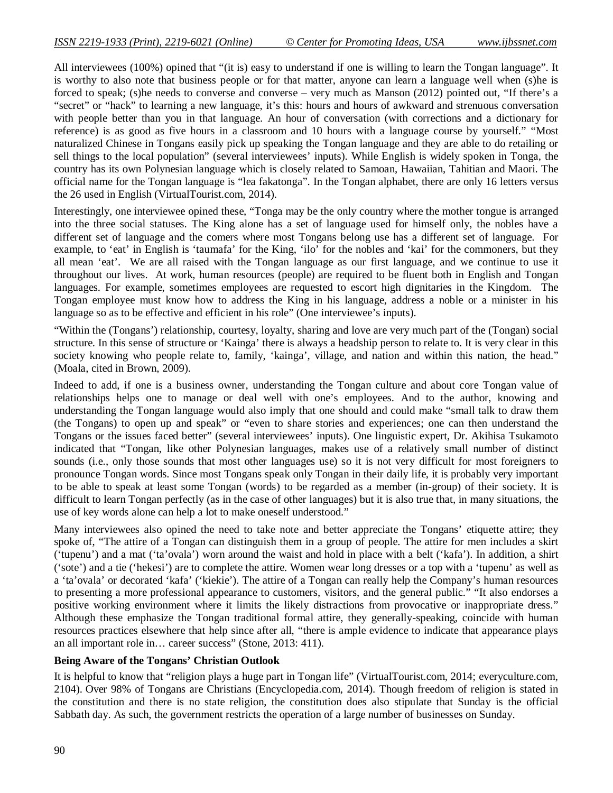All interviewees (100%) opined that "(it is) easy to understand if one is willing to learn the Tongan language". It is worthy to also note that business people or for that matter, anyone can learn a language well when (s)he is forced to speak; (s)he needs to converse and converse – very much as Manson (2012) pointed out, "If there's a "secret" or "hack" to learning a new language, it's this: hours and hours of awkward and strenuous conversation with people better than you in that language. An hour of conversation (with corrections and a dictionary for reference) is as good as five hours in a classroom and 10 hours with a language course by yourself." "Most naturalized Chinese in Tongans easily pick up speaking the Tongan language and they are able to do retailing or sell things to the local population" (several interviewees' inputs). While English is widely spoken in Tonga, the country has its own Polynesian language which is closely related to Samoan, Hawaiian, Tahitian and Maori. The official name for the Tongan language is "lea fakatonga". In the Tongan alphabet, there are only 16 letters versus the 26 used in English (VirtualTourist.com, 2014).

Interestingly, one interviewee opined these, "Tonga may be the only country where the mother tongue is arranged into the three social statuses. The King alone has a set of language used for himself only, the nobles have a different set of language and the comers where most Tongans belong use has a different set of language. For example, to 'eat' in English is 'taumafa' for the King, 'ilo' for the nobles and 'kai' for the commoners, but they all mean 'eat'. We are all raised with the Tongan language as our first language, and we continue to use it throughout our lives. At work, human resources (people) are required to be fluent both in English and Tongan languages. For example, sometimes employees are requested to escort high dignitaries in the Kingdom. The Tongan employee must know how to address the King in his language, address a noble or a minister in his language so as to be effective and efficient in his role" (One interviewee's inputs).

"Within the (Tongans') relationship, courtesy, loyalty, sharing and love are very much part of the (Tongan) social structure. In this sense of structure or 'Kainga' there is always a headship person to relate to. It is very clear in this society knowing who people relate to, family, 'kainga', village, and nation and within this nation, the head." (Moala, cited in Brown, 2009).

Indeed to add, if one is a business owner, understanding the Tongan culture and about core Tongan value of relationships helps one to manage or deal well with one's employees. And to the author, knowing and understanding the Tongan language would also imply that one should and could make "small talk to draw them (the Tongans) to open up and speak" or "even to share stories and experiences; one can then understand the Tongans or the issues faced better" (several interviewees' inputs). One linguistic expert, Dr. Akihisa Tsukamoto indicated that "Tongan, like other Polynesian languages, makes use of a relatively small number of distinct sounds (i.e., only those sounds that most other languages use) so it is not very difficult for most foreigners to pronounce Tongan words. Since most Tongans speak only Tongan in their daily life, it is probably very important to be able to speak at least some Tongan (words) to be regarded as a member (in-group) of their society. It is difficult to learn Tongan perfectly (as in the case of other languages) but it is also true that, in many situations, the use of key words alone can help a lot to make oneself understood."

Many interviewees also opined the need to take note and better appreciate the Tongans' etiquette attire; they spoke of, "The attire of a Tongan can distinguish them in a group of people. The attire for men includes a skirt ('tupenu') and a mat ('ta'ovala') worn around the waist and hold in place with a belt ('kafa'). In addition, a shirt ('sote') and a tie ('hekesi') are to complete the attire. Women wear long dresses or a top with a 'tupenu' as well as a 'ta'ovala' or decorated 'kafa' ('kiekie'). The attire of a Tongan can really help the Company's human resources to presenting a more professional appearance to customers, visitors, and the general public." "It also endorses a positive working environment where it limits the likely distractions from provocative or inappropriate dress." Although these emphasize the Tongan traditional formal attire, they generally-speaking, coincide with human resources practices elsewhere that help since after all, "there is ample evidence to indicate that appearance plays an all important role in… career success" (Stone, 2013: 411).

#### **Being Aware of the Tongans' Christian Outlook**

It is helpful to know that "religion plays a huge part in Tongan life" (VirtualTourist.com, 2014; everyculture.com, 2104). Over 98% of Tongans are Christians (Encyclopedia.com, 2014). Though freedom of religion is stated in the constitution and there is no state religion, the constitution does also stipulate that Sunday is the official Sabbath day. As such, the government restricts the operation of a large number of businesses on Sunday.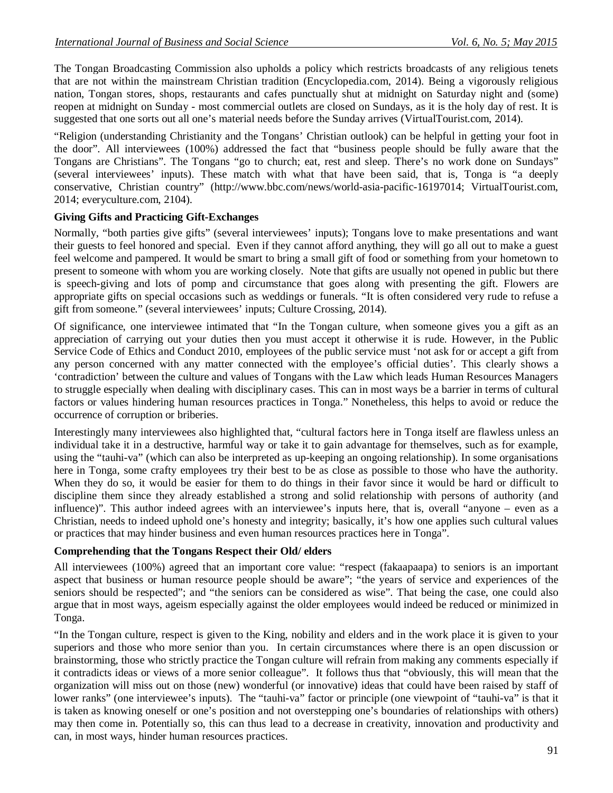The Tongan Broadcasting Commission also upholds a policy which restricts broadcasts of any religious tenets that are not within the mainstream Christian tradition (Encyclopedia.com, 2014). Being a vigorously religious nation, Tongan stores, shops, restaurants and cafes punctually shut at midnight on Saturday night and (some) reopen at midnight on Sunday - most commercial outlets are closed on Sundays, as it is the holy day of rest. It is suggested that one sorts out all one's material needs before the Sunday arrives (VirtualTourist.com, 2014).

"Religion (understanding Christianity and the Tongans' Christian outlook) can be helpful in getting your foot in the door". All interviewees (100%) addressed the fact that "business people should be fully aware that the Tongans are Christians". The Tongans "go to church; eat, rest and sleep. There's no work done on Sundays" (several interviewees' inputs). These match with what that have been said, that is, Tonga is "a deeply conservative, Christian country" (http://www.bbc.com/news/world-asia-pacific-16197014; VirtualTourist.com, 2014; everyculture.com, 2104).

# **Giving Gifts and Practicing Gift-Exchanges**

Normally, "both parties give gifts" (several interviewees' inputs); Tongans love to make presentations and want their guests to feel honored and special. Even if they cannot afford anything, they will go all out to make a guest feel welcome and pampered. It would be smart to bring a small gift of food or something from your hometown to present to someone with whom you are working closely. Note that gifts are usually not opened in public but there is speech-giving and lots of pomp and circumstance that goes along with presenting the gift. Flowers are appropriate gifts on special occasions such as weddings or funerals. "It is often considered very rude to refuse a gift from someone." (several interviewees' inputs; Culture Crossing, 2014).

Of significance, one interviewee intimated that "In the Tongan culture, when someone gives you a gift as an appreciation of carrying out your duties then you must accept it otherwise it is rude. However, in the Public Service Code of Ethics and Conduct 2010, employees of the public service must 'not ask for or accept a gift from any person concerned with any matter connected with the employee's official duties'*.* This clearly shows a 'contradiction' between the culture and values of Tongans with the Law which leads Human Resources Managers to struggle especially when dealing with disciplinary cases. This can in most ways be a barrier in terms of cultural factors or values hindering human resources practices in Tonga." Nonetheless, this helps to avoid or reduce the occurrence of corruption or briberies.

Interestingly many interviewees also highlighted that, "cultural factors here in Tonga itself are flawless unless an individual take it in a destructive, harmful way or take it to gain advantage for themselves, such as for example, using the "tauhi-va" (which can also be interpreted as up-keeping an ongoing relationship). In some organisations here in Tonga, some crafty employees try their best to be as close as possible to those who have the authority. When they do so, it would be easier for them to do things in their favor since it would be hard or difficult to discipline them since they already established a strong and solid relationship with persons of authority (and influence)". This author indeed agrees with an interviewee's inputs here, that is, overall "anyone – even as a Christian, needs to indeed uphold one's honesty and integrity; basically, it's how one applies such cultural values or practices that may hinder business and even human resources practices here in Tonga".

## **Comprehending that the Tongans Respect their Old/ elders**

All interviewees (100%) agreed that an important core value: "respect (fakaapaapa) to seniors is an important aspect that business or human resource people should be aware"; "the years of service and experiences of the seniors should be respected"; and "the seniors can be considered as wise". That being the case, one could also argue that in most ways, ageism especially against the older employees would indeed be reduced or minimized in Tonga.

"In the Tongan culture, respect is given to the King, nobility and elders and in the work place it is given to your superiors and those who more senior than you. In certain circumstances where there is an open discussion or brainstorming, those who strictly practice the Tongan culture will refrain from making any comments especially if it contradicts ideas or views of a more senior colleague". It follows thus that "obviously, this will mean that the organization will miss out on those (new) wonderful (or innovative) ideas that could have been raised by staff of lower ranks" (one interviewee's inputs). The "tauhi-va" factor or principle (one viewpoint of "tauhi-va" is that it is taken as knowing oneself or one's position and not overstepping one's boundaries of relationships with others) may then come in. Potentially so, this can thus lead to a decrease in creativity, innovation and productivity and can, in most ways, hinder human resources practices.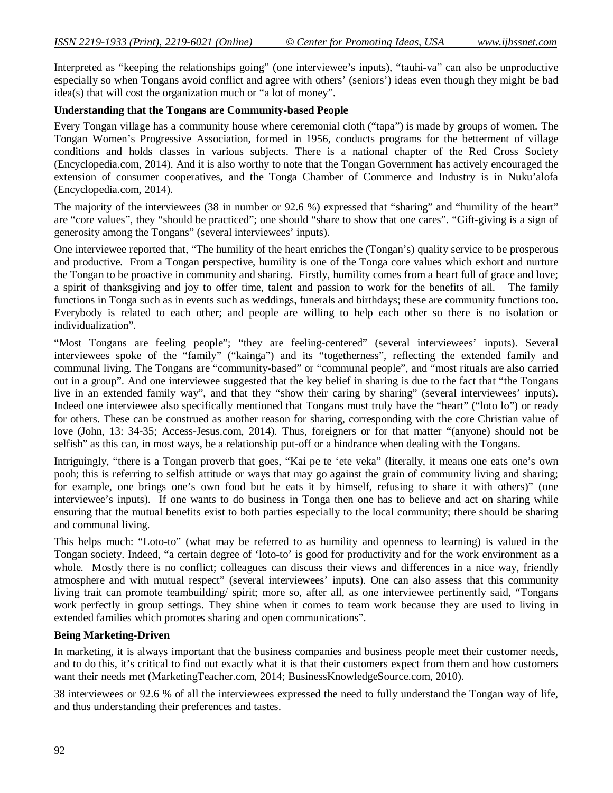Interpreted as "keeping the relationships going" (one interviewee's inputs), "tauhi-va" can also be unproductive especially so when Tongans avoid conflict and agree with others' (seniors') ideas even though they might be bad idea(s) that will cost the organization much or "a lot of money".

#### **Understanding that the Tongans are Community-based People**

Every Tongan village has a community house where ceremonial cloth ("tapa") is made by groups of women. The Tongan Women's Progressive Association, formed in 1956, conducts programs for the betterment of village conditions and holds classes in various subjects. There is a national chapter of the Red Cross Society (Encyclopedia.com, 2014). And it is also worthy to note that the Tongan Government has actively encouraged the extension of consumer cooperatives, and the Tonga Chamber of Commerce and Industry is in Nuku'alofa (Encyclopedia.com, 2014).

The majority of the interviewees (38 in number or 92.6 %) expressed that "sharing" and "humility of the heart" are "core values", they "should be practiced"; one should "share to show that one cares". "Gift-giving is a sign of generosity among the Tongans" (several interviewees' inputs).

One interviewee reported that, "The humility of the heart enriches the (Tongan's) quality service to be prosperous and productive. From a Tongan perspective, humility is one of the Tonga core values which exhort and nurture the Tongan to be proactive in community and sharing. Firstly, humility comes from a heart full of grace and love; a spirit of thanksgiving and joy to offer time, talent and passion to work for the benefits of all. The family functions in Tonga such as in events such as weddings, funerals and birthdays; these are community functions too. Everybody is related to each other; and people are willing to help each other so there is no isolation or individualization".

"Most Tongans are feeling people"; "they are feeling-centered" (several interviewees' inputs). Several interviewees spoke of the "family" ("kainga") and its "togetherness", reflecting the extended family and communal living. The Tongans are "community-based" or "communal people", and "most rituals are also carried out in a group". And one interviewee suggested that the key belief in sharing is due to the fact that "the Tongans live in an extended family way", and that they "show their caring by sharing" (several interviewees' inputs). Indeed one interviewee also specifically mentioned that Tongans must truly have the "heart" ("loto lo") or ready for others. These can be construed as another reason for sharing, corresponding with the core Christian value of love (John, 13: 34-35; Access-Jesus.com, 2014). Thus, foreigners or for that matter "(anyone) should not be selfish" as this can, in most ways, be a relationship put-off or a hindrance when dealing with the Tongans.

Intriguingly, "there is a Tongan proverb that goes, "Kai pe te 'ete veka" (literally, it means one eats one's own pooh; this is referring to selfish attitude or ways that may go against the grain of community living and sharing; for example, one brings one's own food but he eats it by himself, refusing to share it with others)" (one interviewee's inputs). If one wants to do business in Tonga then one has to believe and act on sharing while ensuring that the mutual benefits exist to both parties especially to the local community; there should be sharing and communal living.

This helps much: "Loto-to" (what may be referred to as humility and openness to learning) is valued in the Tongan society. Indeed, "a certain degree of 'loto-to' is good for productivity and for the work environment as a whole. Mostly there is no conflict; colleagues can discuss their views and differences in a nice way, friendly atmosphere and with mutual respect" (several interviewees' inputs). One can also assess that this community living trait can promote teambuilding/ spirit; more so, after all, as one interviewee pertinently said, "Tongans work perfectly in group settings. They shine when it comes to team work because they are used to living in extended families which promotes sharing and open communications".

#### **Being Marketing-Driven**

In marketing, it is always important that the business companies and business people meet their customer needs, and to do this, it's critical to find out exactly what it is that their customers expect from them and how customers want their needs met (MarketingTeacher.com, 2014; BusinessKnowledgeSource.com, 2010).

38 interviewees or 92.6 % of all the interviewees expressed the need to fully understand the Tongan way of life, and thus understanding their preferences and tastes.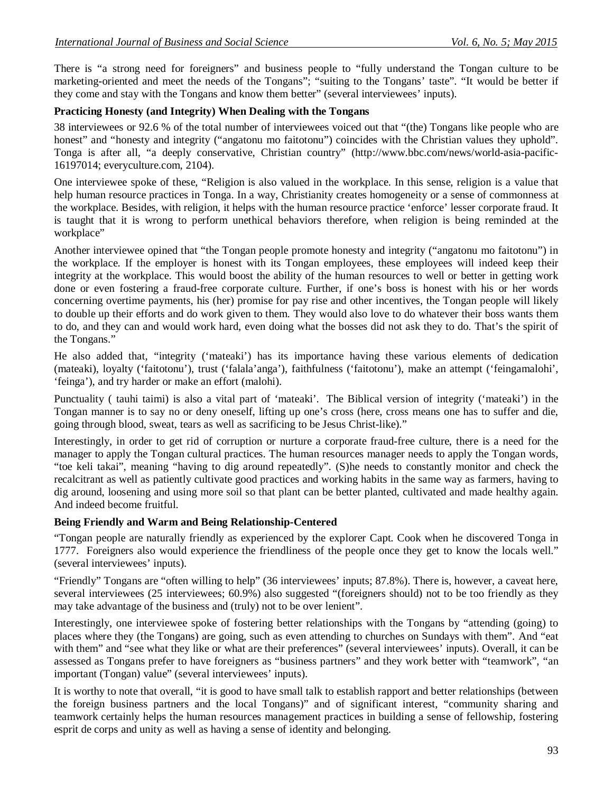There is "a strong need for foreigners" and business people to "fully understand the Tongan culture to be marketing-oriented and meet the needs of the Tongans"; "suiting to the Tongans' taste". "It would be better if they come and stay with the Tongans and know them better" (several interviewees' inputs).

## **Practicing Honesty (and Integrity) When Dealing with the Tongans**

38 interviewees or 92.6 % of the total number of interviewees voiced out that "(the) Tongans like people who are honest" and "honesty and integrity ("angatonu mo faitotonu") coincides with the Christian values they uphold". Tonga is after all, "a deeply conservative, Christian country" (http://www.bbc.com/news/world-asia-pacific-16197014; everyculture.com, 2104).

One interviewee spoke of these, "Religion is also valued in the workplace. In this sense, religion is a value that help human resource practices in Tonga. In a way, Christianity creates homogeneity or a sense of commonness at the workplace. Besides, with religion, it helps with the human resource practice 'enforce' lesser corporate fraud. It is taught that it is wrong to perform unethical behaviors therefore, when religion is being reminded at the workplace"

Another interviewee opined that "the Tongan people promote honesty and integrity ("angatonu mo faitotonu") in the workplace. If the employer is honest with its Tongan employees, these employees will indeed keep their integrity at the workplace. This would boost the ability of the human resources to well or better in getting work done or even fostering a fraud-free corporate culture. Further, if one's boss is honest with his or her words concerning overtime payments, his (her) promise for pay rise and other incentives, the Tongan people will likely to double up their efforts and do work given to them. They would also love to do whatever their boss wants them to do, and they can and would work hard, even doing what the bosses did not ask they to do. That's the spirit of the Tongans."

He also added that, "integrity ('mateaki') has its importance having these various elements of dedication (mateaki), loyalty ('faitotonu'), trust ('falala'anga'), faithfulness ('faitotonu'), make an attempt ('feingamalohi', 'feinga'), and try harder or make an effort (malohi).

Punctuality ( tauhi taimi) is also a vital part of 'mateaki'. The Biblical version of integrity ('mateaki') in the Tongan manner is to say no or deny oneself, lifting up one's cross (here, cross means one has to suffer and die, going through blood, sweat, tears as well as sacrificing to be Jesus Christ-like)."

Interestingly, in order to get rid of corruption or nurture a corporate fraud-free culture, there is a need for the manager to apply the Tongan cultural practices. The human resources manager needs to apply the Tongan words, "toe keli takai", meaning "having to dig around repeatedly". (S)he needs to constantly monitor and check the recalcitrant as well as patiently cultivate good practices and working habits in the same way as farmers, having to dig around, loosening and using more soil so that plant can be better planted, cultivated and made healthy again. And indeed become fruitful.

## **Being Friendly and Warm and Being Relationship-Centered**

"Tongan people are naturally friendly as experienced by the explorer Capt. Cook when he discovered Tonga in 1777. Foreigners also would experience the friendliness of the people once they get to know the locals well." (several interviewees' inputs).

"Friendly" Tongans are "often willing to help" (36 interviewees' inputs; 87.8%). There is, however, a caveat here, several interviewees (25 interviewees; 60.9%) also suggested "(foreigners should) not to be too friendly as they may take advantage of the business and (truly) not to be over lenient".

Interestingly, one interviewee spoke of fostering better relationships with the Tongans by "attending (going) to places where they (the Tongans) are going, such as even attending to churches on Sundays with them". And "eat with them" and "see what they like or what are their preferences" (several interviewees' inputs). Overall, it can be assessed as Tongans prefer to have foreigners as "business partners" and they work better with "teamwork", "an important (Tongan) value" (several interviewees' inputs).

It is worthy to note that overall, "it is good to have small talk to establish rapport and better relationships (between the foreign business partners and the local Tongans)" and of significant interest, "community sharing and teamwork certainly helps the human resources management practices in building a sense of fellowship, fostering esprit de corps and unity as well as having a sense of identity and belonging.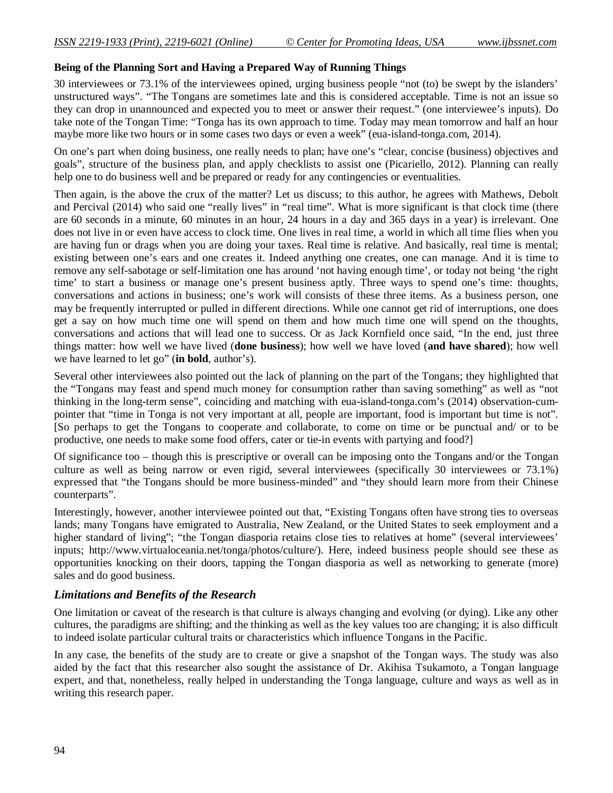#### **Being of the Planning Sort and Having a Prepared Way of Running Things**

30 interviewees or 73.1% of the interviewees opined, urging business people "not (to) be swept by the islanders' unstructured ways". "The Tongans are sometimes late and this is considered acceptable. Time is not an issue so they can drop in unannounced and expected you to meet or answer their request." (one interviewee's inputs). Do take note of the Tongan Time: "Tonga has its own approach to time. Today may mean tomorrow and half an hour maybe more like two hours or in some cases two days or even a week" (eua-island-tonga.com, 2014).

On one's part when doing business, one really needs to plan; have one's "clear, concise (business) objectives and goals", structure of the business plan, and apply checklists to assist one (Picariello, 2012). Planning can really help one to do business well and be prepared or ready for any contingencies or eventualities.

Then again, is the above the crux of the matter? Let us discuss; to this author, he agrees with Mathews, Debolt and Percival (2014) who said one "really lives" in "real time". What is more significant is that clock time (there are 60 seconds in a minute, 60 minutes in an hour, 24 hours in a day and 365 days in a year) is irrelevant. One does not live in or even have access to clock time. One lives in real time, a world in which all time flies when you are having fun or drags when you are doing your taxes. Real time is relative. And basically, real time is mental; existing between one's ears and one creates it. Indeed anything one creates, one can manage. And it is time to remove any self-sabotage or self-limitation one has around 'not having enough time', or today not being 'the right time' to start a business or manage one's present business aptly. Three ways to spend one's time: thoughts, conversations and actions in business; one's work will consists of these three items. As a business person, one may be frequently interrupted or pulled in different directions. While one cannot get rid of interruptions, one does get a say on how much time one will spend on them and how much time one will spend on the thoughts, conversations and actions that will lead one to success. Or as Jack Kornfield once said, "In the end, just three things matter: how well we have lived (**done business**); how well we have loved (**and have shared**); how well we have learned to let go" (**in bold**, author's).

Several other interviewees also pointed out the lack of planning on the part of the Tongans; they highlighted that the "Tongans may feast and spend much money for consumption rather than saving something" as well as "not thinking in the long-term sense", coinciding and matching with eua-island-tonga.com's (2014) observation-cumpointer that "time in Tonga is not very important at all, people are important, food is important but time is not". [So perhaps to get the Tongans to cooperate and collaborate, to come on time or be punctual and/ or to be productive, one needs to make some food offers, cater or tie-in events with partying and food?]

Of significance too – though this is prescriptive or overall can be imposing onto the Tongans and/or the Tongan culture as well as being narrow or even rigid, several interviewees (specifically 30 interviewees or 73.1%) expressed that "the Tongans should be more business-minded" and "they should learn more from their Chinese counterparts".

Interestingly, however, another interviewee pointed out that, "Existing Tongans often have strong ties to overseas lands; many Tongans have emigrated to Australia, New Zealand, or the United States to seek employment and a higher standard of living"; "the Tongan diasporia retains close ties to relatives at home" (several interviewees' inputs; http://www.virtualoceania.net/tonga/photos/culture/). Here, indeed business people should see these as opportunities knocking on their doors, tapping the Tongan diasporia as well as networking to generate (more) sales and do good business.

## *Limitations and Benefits of the Research*

One limitation or caveat of the research is that culture is always changing and evolving (or dying). Like any other cultures, the paradigms are shifting; and the thinking as well as the key values too are changing; it is also difficult to indeed isolate particular cultural traits or characteristics which influence Tongans in the Pacific.

In any case, the benefits of the study are to create or give a snapshot of the Tongan ways. The study was also aided by the fact that this researcher also sought the assistance of Dr. Akihisa Tsukamoto, a Tongan language expert, and that, nonetheless, really helped in understanding the Tonga language, culture and ways as well as in writing this research paper.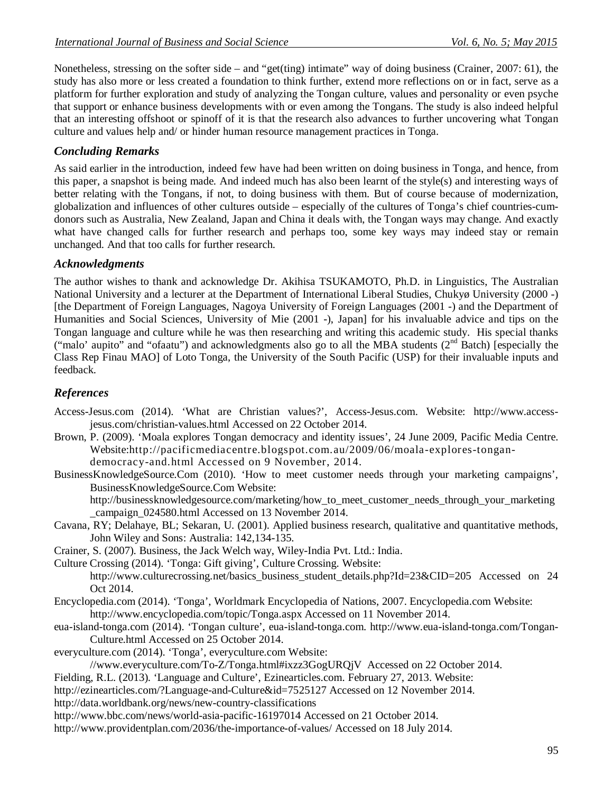Nonetheless, stressing on the softer side – and "get(ting) intimate" way of doing business (Crainer, 2007: 61), the study has also more or less created a foundation to think further, extend more reflections on or in fact, serve as a platform for further exploration and study of analyzing the Tongan culture, values and personality or even psyche that support or enhance business developments with or even among the Tongans. The study is also indeed helpful that an interesting offshoot or spinoff of it is that the research also advances to further uncovering what Tongan culture and values help and/ or hinder human resource management practices in Tonga.

# *Concluding Remarks*

As said earlier in the introduction, indeed few have had been written on doing business in Tonga, and hence, from this paper, a snapshot is being made. And indeed much has also been learnt of the style(s) and interesting ways of better relating with the Tongans, if not, to doing business with them. But of course because of modernization, globalization and influences of other cultures outside – especially of the cultures of Tonga's chief countries-cumdonors such as Australia, New Zealand, Japan and China it deals with, the Tongan ways may change. And exactly what have changed calls for further research and perhaps too, some key ways may indeed stay or remain unchanged. And that too calls for further research.

# *Acknowledgments*

The author wishes to thank and acknowledge Dr. Akihisa TSUKAMOTO, Ph.D. in Linguistics, The Australian National University and a lecturer at the Department of International Liberal Studies, Chukyø University (2000 -) [the Department of Foreign Languages, Nagoya University of Foreign Languages (2001 -) and the Department of Humanities and Social Sciences, University of Mie (2001 -), Japan] for his invaluable advice and tips on the Tongan language and culture while he was then researching and writing this academic study. His special thanks ("malo' aupito" and "ofaatu") and acknowledgments also go to all the MBA students ( $2<sup>nd</sup>$  Batch) [especially the Class Rep Finau MAO] of Loto Tonga, the University of the South Pacific (USP) for their invaluable inputs and feedback.

# *References*

- Access-Jesus.com (2014). 'What are Christian values?', Access-Jesus.com. Website: http://www.accessjesus.com/christian-values.html Accessed on 22 October 2014.
- Brown, P. (2009). 'Moala explores Tongan democracy and identity issues', 24 June 2009, Pacific Media Centre. Website:http://pacificmediacentre.blogspot.com.au/2009/06/moala-explores-tongandemocracy-and.html Accessed on 9 November, 2014.

BusinessKnowledgeSource.Com (2010). 'How to meet customer needs through your marketing campaigns', BusinessKnowledgeSource.Com Website:

http://businessknowledgesource.com/marketing/how\_to\_meet\_customer\_needs\_through\_your\_marketing \_campaign\_024580.html Accessed on 13 November 2014.

- Cavana, RY; Delahaye, BL; Sekaran, U. (2001). Applied business research, qualitative and quantitative methods, John Wiley and Sons: Australia: 142,134-135.
- Crainer, S. (2007). Business, the Jack Welch way, Wiley-India Pvt. Ltd.: India.

Culture Crossing (2014). 'Tonga: Gift giving', Culture Crossing. Website: http://www.culturecrossing.net/basics\_business\_student\_details.php?Id=23&CID=205 Accessed on 24 Oct 2014.

- Encyclopedia.com (2014). 'Tonga', Worldmark Encyclopedia of Nations, 2007. Encyclopedia.com Website: http://www.encyclopedia.com/topic/Tonga.aspx Accessed on 11 November 2014.
- eua-island-tonga.com (2014). 'Tongan culture', eua-island-tonga.com. http://www.eua-island-tonga.com/Tongan-Culture.html Accessed on 25 October 2014.
- everyculture.com (2014). 'Tonga', everyculture.com Website:
	- //www.everyculture.com/To-Z/Tonga.html#ixzz3GogURQjV Accessed on 22 October 2014.
- Fielding, R.L. (2013). 'Language and Culture', Ezinearticles.com. February 27, 2013. Website:
- http://ezinearticles.com/?Language-and-Culture&id=7525127 Accessed on 12 November 2014.
- http://data.worldbank.org/news/new-country-classifications
- http://www.bbc.com/news/world-asia-pacific-16197014 Accessed on 21 October 2014.
- http://www.providentplan.com/2036/the-importance-of-values/ Accessed on 18 July 2014.